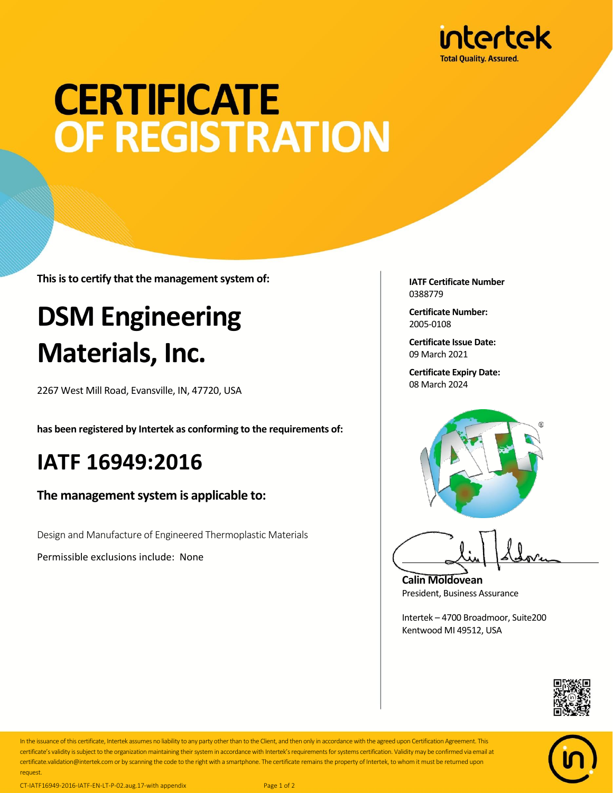

# **CERTIFICATE** OF REGISTRATION

**This is to certify that the management system of:**

## **DSM Engineering Materials, Inc.**

2267 West Mill Road, Evansville, IN, 47720, USA

**has been registered by Intertek as conforming to the requirements of:**

### **IATF 16949:2016**

#### **The management system is applicable to:**

Design and Manufacture of Engineered Thermoplastic Materials

Permissible exclusions include: None

**IATF Certificate Number** 0388779

**Certificate Number:** 2005-0108

**Certificate Issue Date:** 09 March 2021

**Certificate Expiry Date:** 08 March 2024



**Calin Moldovean** President, Business Assurance

Intertek – 4700 Broadmoor, Suite200 Kentwood MI 49512, USA





In the issuance of this certificate, Intertek assumes no liability to any party other than to the Client, and then only in accordance with the agreed upon Certification Agreement. This certificate's validity is subject to the organization maintaining their system in accordance with Intertek's requirements for systems certification. Validity may be confirmed via email at certificate.validation@intertek.com or by scanning the code to the right with a smartphone. The certificate remains the property of Intertek, to whom it must be returned upon request.